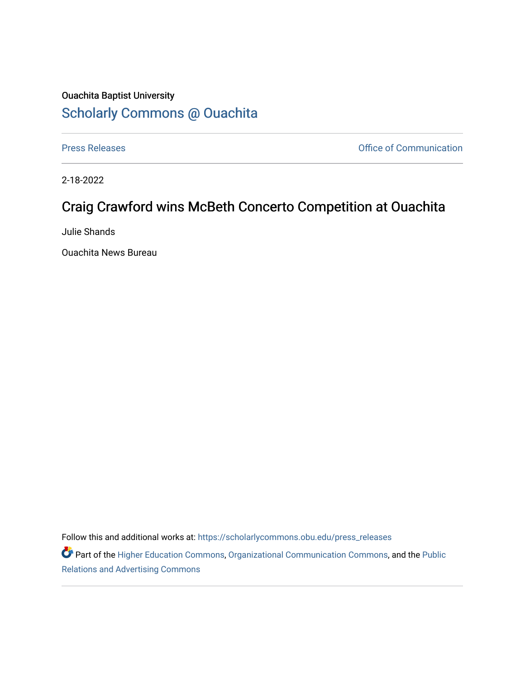## Ouachita Baptist University [Scholarly Commons @ Ouachita](https://scholarlycommons.obu.edu/)

[Press Releases](https://scholarlycommons.obu.edu/press_releases) **Press Releases Communication** 

2-18-2022

## Craig Crawford wins McBeth Concerto Competition at Ouachita

Julie Shands

Ouachita News Bureau

Follow this and additional works at: [https://scholarlycommons.obu.edu/press\\_releases](https://scholarlycommons.obu.edu/press_releases?utm_source=scholarlycommons.obu.edu%2Fpress_releases%2F1060&utm_medium=PDF&utm_campaign=PDFCoverPages)

Part of the [Higher Education Commons,](http://network.bepress.com/hgg/discipline/1245?utm_source=scholarlycommons.obu.edu%2Fpress_releases%2F1060&utm_medium=PDF&utm_campaign=PDFCoverPages) [Organizational Communication Commons,](http://network.bepress.com/hgg/discipline/335?utm_source=scholarlycommons.obu.edu%2Fpress_releases%2F1060&utm_medium=PDF&utm_campaign=PDFCoverPages) and the [Public](http://network.bepress.com/hgg/discipline/336?utm_source=scholarlycommons.obu.edu%2Fpress_releases%2F1060&utm_medium=PDF&utm_campaign=PDFCoverPages) [Relations and Advertising Commons](http://network.bepress.com/hgg/discipline/336?utm_source=scholarlycommons.obu.edu%2Fpress_releases%2F1060&utm_medium=PDF&utm_campaign=PDFCoverPages)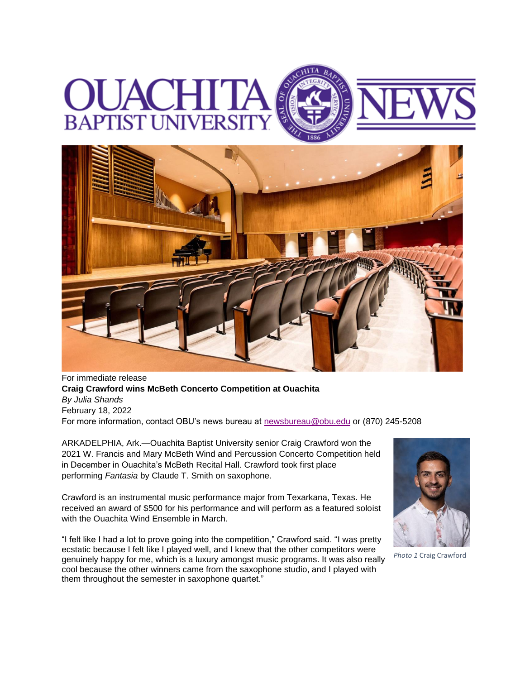## **BAPTIST UNIVERS**



For immediate release **Craig Crawford wins McBeth Concerto Competition at Ouachita** *By Julia Shands* February 18, 2022 For more information, contact OBU's news bureau at [newsbureau@obu.edu](mailto:newsbureau@obu.edu) or (870) 245-5208

ARKADELPHIA, Ark.—Ouachita Baptist University senior Craig Crawford won the 2021 W. Francis and Mary McBeth Wind and Percussion Concerto Competition held in December in Ouachita's McBeth Recital Hall. Crawford took first place performing *Fantasia* by Claude T. Smith on saxophone.

Crawford is an instrumental music performance major from Texarkana, Texas. He received an award of \$500 for his performance and will perform as a featured soloist with the Ouachita Wind Ensemble in March.

"I felt like I had a lot to prove going into the competition," Crawford said. "I was pretty ecstatic because I felt like I played well, and I knew that the other competitors were genuinely happy for me, which is a luxury amongst music programs. It was also really cool because the other winners came from the saxophone studio, and I played with them throughout the semester in saxophone quartet."



*Photo 1* Craig Crawford